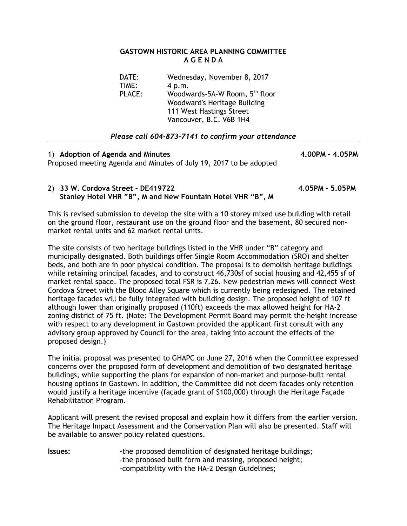## **GASTOWN HISTORIC AREA PLANNING COMMITTEE A G E N D A**

| DATE:<br>TIME: | Wednesday, November 8, 2017<br>4 p.m.                                                                                             |
|----------------|-----------------------------------------------------------------------------------------------------------------------------------|
| PLACE:         | Woodwards-5A-W Room, 5 <sup>th</sup> floor<br>Woodward's Heritage Building<br>111 West Hastings Street<br>Vancouver, B.C. V6B 1H4 |

## *Please call 604-873-7141 to confirm your attendance*

1) **Adoption of Agenda and Minutes 4.00PM – 4.05PM**  Proposed meeting Agenda and Minutes of July 19, 2017 to be adopted

## 2) **33 W. Cordova Street – DE419722 4.05PM – 5.05PM Stanley Hotel VHR "B", M and New Fountain Hotel VHR "B", M**

This is revised submission to develop the site with a 10 storey mixed use building with retail on the ground floor, restaurant use on the ground floor and the basement, 80 secured nonmarket rental units and 62 market rental units.

The site consists of two heritage buildings listed in the VHR under "B" category and municipally designated. Both buildings offer Single Room Accommodation (SRO) and shelter beds, and both are in poor physical condition. The proposal is to demolish heritage buildings while retaining principal facades, and to construct 46,730sf of social housing and 42,455 sf of market rental space. The proposed total FSR is 7.26. New pedestrian mews will connect West Cordova Street with the Blood Alley Square which is currently being redesigned. The retained heritage facades will be fully integrated with building design. The proposed height of 107 ft although lower than originally proposed (110ft) exceeds the max allowed height for HA-2 zoning district of 75 ft. (Note: The Development Permit Board may permit the height increase with respect to any development in Gastown provided the applicant first consult with any advisory group approved by Council for the area, taking into account the effects of the proposed design.)

The initial proposal was presented to GHAPC on June 27, 2016 when the Committee expressed concerns over the proposed form of development and demolition of two designated heritage buildings, while supporting the plans for expansion of non-market and purpose-built rental housing options in Gastown. In addition, the Committee did not deem facades-only retention would justify a heritage incentive (façade grant of \$100,000) through the Heritage Façade Rehabilitation Program.

Applicant will present the revised proposal and explain how it differs from the earlier version. The Heritage Impact Assessment and the Conservation Plan will also be presented. Staff will be available to answer policy related questions.

**Issues:**  $\qquad \qquad$ -the proposed demolition of designated heritage buildings; -the proposed built form and massing, proposed height; -compatibility with the HA-2 Design Guidelines;